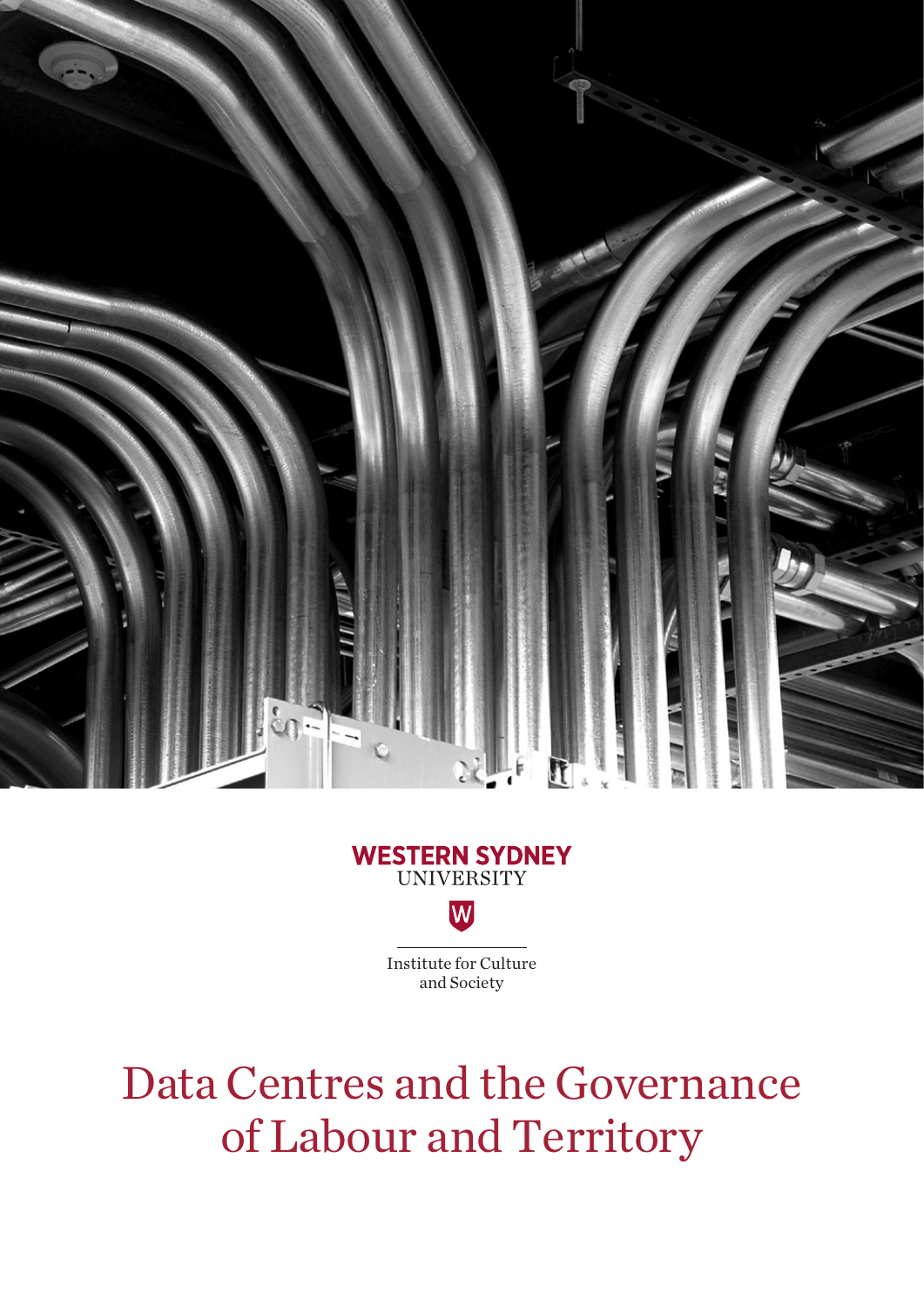

## **WESTERN SYDNEY**<br>UNIVERSITY W

Institute for Culture and Society

Data Centres and the Governance of Labour and Territory